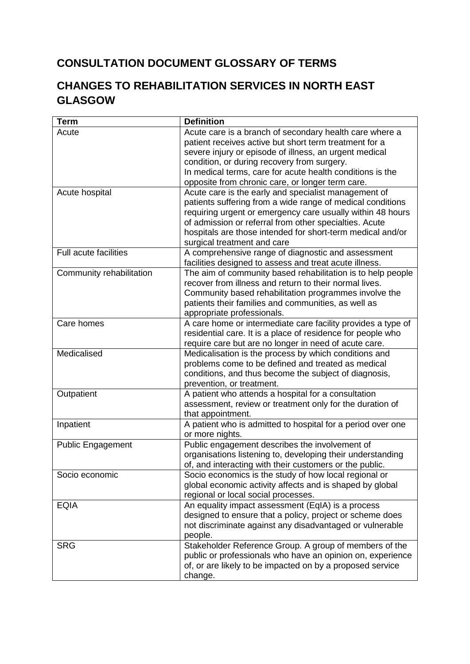## **CONSULTATION DOCUMENT GLOSSARY OF TERMS**

## **CHANGES TO REHABILITATION SERVICES IN NORTH EAST GLASGOW**

| <b>Term</b>                                                                                        | <b>Definition</b>                                                                                                                                                                                                                                                                                                                                                                                                                                                                                                                                                                                                                                                                                                                                                                                                                                                                                                                                                                                                                |
|----------------------------------------------------------------------------------------------------|----------------------------------------------------------------------------------------------------------------------------------------------------------------------------------------------------------------------------------------------------------------------------------------------------------------------------------------------------------------------------------------------------------------------------------------------------------------------------------------------------------------------------------------------------------------------------------------------------------------------------------------------------------------------------------------------------------------------------------------------------------------------------------------------------------------------------------------------------------------------------------------------------------------------------------------------------------------------------------------------------------------------------------|
| Acute                                                                                              | Acute care is a branch of secondary health care where a                                                                                                                                                                                                                                                                                                                                                                                                                                                                                                                                                                                                                                                                                                                                                                                                                                                                                                                                                                          |
|                                                                                                    | patient receives active but short term treatment for a                                                                                                                                                                                                                                                                                                                                                                                                                                                                                                                                                                                                                                                                                                                                                                                                                                                                                                                                                                           |
|                                                                                                    | severe injury or episode of illness, an urgent medical                                                                                                                                                                                                                                                                                                                                                                                                                                                                                                                                                                                                                                                                                                                                                                                                                                                                                                                                                                           |
|                                                                                                    | condition, or during recovery from surgery.                                                                                                                                                                                                                                                                                                                                                                                                                                                                                                                                                                                                                                                                                                                                                                                                                                                                                                                                                                                      |
|                                                                                                    | In medical terms, care for acute health conditions is the                                                                                                                                                                                                                                                                                                                                                                                                                                                                                                                                                                                                                                                                                                                                                                                                                                                                                                                                                                        |
|                                                                                                    | opposite from chronic care, or longer term care.                                                                                                                                                                                                                                                                                                                                                                                                                                                                                                                                                                                                                                                                                                                                                                                                                                                                                                                                                                                 |
| Acute hospital                                                                                     | Acute care is the early and specialist management of                                                                                                                                                                                                                                                                                                                                                                                                                                                                                                                                                                                                                                                                                                                                                                                                                                                                                                                                                                             |
|                                                                                                    | patients suffering from a wide range of medical conditions                                                                                                                                                                                                                                                                                                                                                                                                                                                                                                                                                                                                                                                                                                                                                                                                                                                                                                                                                                       |
|                                                                                                    | requiring urgent or emergency care usually within 48 hours                                                                                                                                                                                                                                                                                                                                                                                                                                                                                                                                                                                                                                                                                                                                                                                                                                                                                                                                                                       |
|                                                                                                    | of admission or referral from other specialties. Acute                                                                                                                                                                                                                                                                                                                                                                                                                                                                                                                                                                                                                                                                                                                                                                                                                                                                                                                                                                           |
|                                                                                                    | hospitals are those intended for short-term medical and/or                                                                                                                                                                                                                                                                                                                                                                                                                                                                                                                                                                                                                                                                                                                                                                                                                                                                                                                                                                       |
|                                                                                                    | surgical treatment and care                                                                                                                                                                                                                                                                                                                                                                                                                                                                                                                                                                                                                                                                                                                                                                                                                                                                                                                                                                                                      |
| Full acute facilities                                                                              | A comprehensive range of diagnostic and assessment                                                                                                                                                                                                                                                                                                                                                                                                                                                                                                                                                                                                                                                                                                                                                                                                                                                                                                                                                                               |
|                                                                                                    | facilities designed to assess and treat acute illness.                                                                                                                                                                                                                                                                                                                                                                                                                                                                                                                                                                                                                                                                                                                                                                                                                                                                                                                                                                           |
| Community rehabilitation                                                                           | The aim of community based rehabilitation is to help people                                                                                                                                                                                                                                                                                                                                                                                                                                                                                                                                                                                                                                                                                                                                                                                                                                                                                                                                                                      |
|                                                                                                    | recover from illness and return to their normal lives.                                                                                                                                                                                                                                                                                                                                                                                                                                                                                                                                                                                                                                                                                                                                                                                                                                                                                                                                                                           |
|                                                                                                    | Community based rehabilitation programmes involve the                                                                                                                                                                                                                                                                                                                                                                                                                                                                                                                                                                                                                                                                                                                                                                                                                                                                                                                                                                            |
|                                                                                                    | patients their families and communities, as well as                                                                                                                                                                                                                                                                                                                                                                                                                                                                                                                                                                                                                                                                                                                                                                                                                                                                                                                                                                              |
|                                                                                                    | appropriate professionals.                                                                                                                                                                                                                                                                                                                                                                                                                                                                                                                                                                                                                                                                                                                                                                                                                                                                                                                                                                                                       |
| Care homes                                                                                         | A care home or intermediate care facility provides a type of                                                                                                                                                                                                                                                                                                                                                                                                                                                                                                                                                                                                                                                                                                                                                                                                                                                                                                                                                                     |
|                                                                                                    | residential care. It is a place of residence for people who                                                                                                                                                                                                                                                                                                                                                                                                                                                                                                                                                                                                                                                                                                                                                                                                                                                                                                                                                                      |
|                                                                                                    | require care but are no longer in need of acute care.                                                                                                                                                                                                                                                                                                                                                                                                                                                                                                                                                                                                                                                                                                                                                                                                                                                                                                                                                                            |
| Medicalised                                                                                        | Medicalisation is the process by which conditions and                                                                                                                                                                                                                                                                                                                                                                                                                                                                                                                                                                                                                                                                                                                                                                                                                                                                                                                                                                            |
|                                                                                                    | problems come to be defined and treated as medical                                                                                                                                                                                                                                                                                                                                                                                                                                                                                                                                                                                                                                                                                                                                                                                                                                                                                                                                                                               |
|                                                                                                    |                                                                                                                                                                                                                                                                                                                                                                                                                                                                                                                                                                                                                                                                                                                                                                                                                                                                                                                                                                                                                                  |
|                                                                                                    |                                                                                                                                                                                                                                                                                                                                                                                                                                                                                                                                                                                                                                                                                                                                                                                                                                                                                                                                                                                                                                  |
|                                                                                                    |                                                                                                                                                                                                                                                                                                                                                                                                                                                                                                                                                                                                                                                                                                                                                                                                                                                                                                                                                                                                                                  |
|                                                                                                    |                                                                                                                                                                                                                                                                                                                                                                                                                                                                                                                                                                                                                                                                                                                                                                                                                                                                                                                                                                                                                                  |
|                                                                                                    |                                                                                                                                                                                                                                                                                                                                                                                                                                                                                                                                                                                                                                                                                                                                                                                                                                                                                                                                                                                                                                  |
|                                                                                                    |                                                                                                                                                                                                                                                                                                                                                                                                                                                                                                                                                                                                                                                                                                                                                                                                                                                                                                                                                                                                                                  |
|                                                                                                    |                                                                                                                                                                                                                                                                                                                                                                                                                                                                                                                                                                                                                                                                                                                                                                                                                                                                                                                                                                                                                                  |
|                                                                                                    |                                                                                                                                                                                                                                                                                                                                                                                                                                                                                                                                                                                                                                                                                                                                                                                                                                                                                                                                                                                                                                  |
|                                                                                                    |                                                                                                                                                                                                                                                                                                                                                                                                                                                                                                                                                                                                                                                                                                                                                                                                                                                                                                                                                                                                                                  |
|                                                                                                    |                                                                                                                                                                                                                                                                                                                                                                                                                                                                                                                                                                                                                                                                                                                                                                                                                                                                                                                                                                                                                                  |
|                                                                                                    |                                                                                                                                                                                                                                                                                                                                                                                                                                                                                                                                                                                                                                                                                                                                                                                                                                                                                                                                                                                                                                  |
|                                                                                                    |                                                                                                                                                                                                                                                                                                                                                                                                                                                                                                                                                                                                                                                                                                                                                                                                                                                                                                                                                                                                                                  |
|                                                                                                    |                                                                                                                                                                                                                                                                                                                                                                                                                                                                                                                                                                                                                                                                                                                                                                                                                                                                                                                                                                                                                                  |
|                                                                                                    |                                                                                                                                                                                                                                                                                                                                                                                                                                                                                                                                                                                                                                                                                                                                                                                                                                                                                                                                                                                                                                  |
|                                                                                                    |                                                                                                                                                                                                                                                                                                                                                                                                                                                                                                                                                                                                                                                                                                                                                                                                                                                                                                                                                                                                                                  |
|                                                                                                    |                                                                                                                                                                                                                                                                                                                                                                                                                                                                                                                                                                                                                                                                                                                                                                                                                                                                                                                                                                                                                                  |
|                                                                                                    |                                                                                                                                                                                                                                                                                                                                                                                                                                                                                                                                                                                                                                                                                                                                                                                                                                                                                                                                                                                                                                  |
|                                                                                                    |                                                                                                                                                                                                                                                                                                                                                                                                                                                                                                                                                                                                                                                                                                                                                                                                                                                                                                                                                                                                                                  |
|                                                                                                    |                                                                                                                                                                                                                                                                                                                                                                                                                                                                                                                                                                                                                                                                                                                                                                                                                                                                                                                                                                                                                                  |
|                                                                                                    | change.                                                                                                                                                                                                                                                                                                                                                                                                                                                                                                                                                                                                                                                                                                                                                                                                                                                                                                                                                                                                                          |
| Outpatient<br>Inpatient<br><b>Public Engagement</b><br>Socio economic<br><b>EQIA</b><br><b>SRG</b> | conditions, and thus become the subject of diagnosis,<br>prevention, or treatment.<br>A patient who attends a hospital for a consultation<br>assessment, review or treatment only for the duration of<br>that appointment.<br>A patient who is admitted to hospital for a period over one<br>or more nights.<br>Public engagement describes the involvement of<br>organisations listening to, developing their understanding<br>of, and interacting with their customers or the public.<br>Socio economics is the study of how local regional or<br>global economic activity affects and is shaped by global<br>regional or local social processes.<br>An equality impact assessment (EqIA) is a process<br>designed to ensure that a policy, project or scheme does<br>not discriminate against any disadvantaged or vulnerable<br>people.<br>Stakeholder Reference Group. A group of members of the<br>public or professionals who have an opinion on, experience<br>of, or are likely to be impacted on by a proposed service |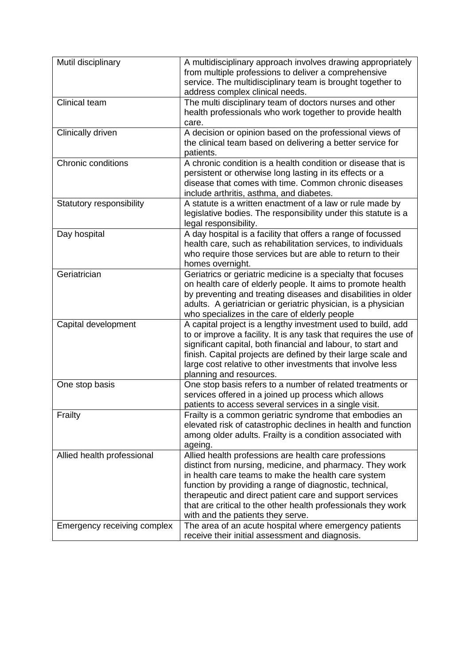| Mutil disciplinary          | A multidisciplinary approach involves drawing appropriately<br>from multiple professions to deliver a comprehensive<br>service. The multidisciplinary team is brought together to                                                                                                                                                                                                                     |
|-----------------------------|-------------------------------------------------------------------------------------------------------------------------------------------------------------------------------------------------------------------------------------------------------------------------------------------------------------------------------------------------------------------------------------------------------|
|                             | address complex clinical needs.                                                                                                                                                                                                                                                                                                                                                                       |
| Clinical team               | The multi disciplinary team of doctors nurses and other<br>health professionals who work together to provide health<br>care.                                                                                                                                                                                                                                                                          |
| <b>Clinically driven</b>    | A decision or opinion based on the professional views of<br>the clinical team based on delivering a better service for<br>patients.                                                                                                                                                                                                                                                                   |
| Chronic conditions          | A chronic condition is a health condition or disease that is<br>persistent or otherwise long lasting in its effects or a<br>disease that comes with time. Common chronic diseases<br>include arthritis, asthma, and diabetes.                                                                                                                                                                         |
| Statutory responsibility    | A statute is a written enactment of a law or rule made by<br>legislative bodies. The responsibility under this statute is a<br>legal responsibility.                                                                                                                                                                                                                                                  |
| Day hospital                | A day hospital is a facility that offers a range of focussed<br>health care, such as rehabilitation services, to individuals<br>who require those services but are able to return to their<br>homes overnight.                                                                                                                                                                                        |
| Geriatrician                | Geriatrics or geriatric medicine is a specialty that focuses<br>on health care of elderly people. It aims to promote health<br>by preventing and treating diseases and disabilities in older<br>adults. A geriatrician or geriatric physician, is a physician<br>who specializes in the care of elderly people                                                                                        |
| Capital development         | A capital project is a lengthy investment used to build, add<br>to or improve a facility. It is any task that requires the use of<br>significant capital, both financial and labour, to start and<br>finish. Capital projects are defined by their large scale and<br>large cost relative to other investments that involve less<br>planning and resources.                                           |
| One stop basis              | One stop basis refers to a number of related treatments or<br>services offered in a joined up process which allows<br>patients to access several services in a single visit.                                                                                                                                                                                                                          |
| Frailty                     | Frailty is a common geriatric syndrome that embodies an<br>elevated risk of catastrophic declines in health and function<br>among older adults. Frailty is a condition associated with<br>ageing.                                                                                                                                                                                                     |
| Allied health professional  | Allied health professions are health care professions<br>distinct from nursing, medicine, and pharmacy. They work<br>in health care teams to make the health care system<br>function by providing a range of diagnostic, technical,<br>therapeutic and direct patient care and support services<br>that are critical to the other health professionals they work<br>with and the patients they serve. |
| Emergency receiving complex | The area of an acute hospital where emergency patients<br>receive their initial assessment and diagnosis.                                                                                                                                                                                                                                                                                             |